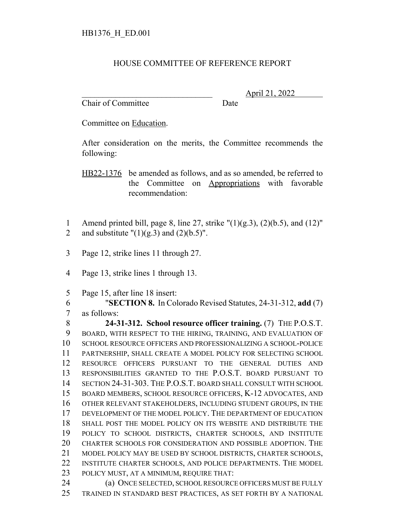## HOUSE COMMITTEE OF REFERENCE REPORT

Chair of Committee Date

\_\_\_\_\_\_\_\_\_\_\_\_\_\_\_\_\_\_\_\_\_\_\_\_\_\_\_\_\_\_\_ April 21, 2022

Committee on Education.

After consideration on the merits, the Committee recommends the following:

HB22-1376 be amended as follows, and as so amended, be referred to the Committee on Appropriations with favorable recommendation:

- 1 Amend printed bill, page 8, line 27, strike  $\Gamma(1)(g.3)$ ,  $(2)(b.5)$ , and  $(12)$ " 2 and substitute  $"(1)(g.3)$  and  $(2)(b.5)"$ .
- Page 12, strike lines 11 through 27.
- Page 13, strike lines 1 through 13.
- Page 15, after line 18 insert:

 "**SECTION 8.** In Colorado Revised Statutes, 24-31-312, **add** (7) as follows:

 **24-31-312. School resource officer training.** (7) THE P.O.S.T. BOARD, WITH RESPECT TO THE HIRING, TRAINING, AND EVALUATION OF SCHOOL RESOURCE OFFICERS AND PROFESSIONALIZING A SCHOOL-POLICE PARTNERSHIP, SHALL CREATE A MODEL POLICY FOR SELECTING SCHOOL RESOURCE OFFICERS PURSUANT TO THE GENERAL DUTIES AND RESPONSIBILITIES GRANTED TO THE P.O.S.T. BOARD PURSUANT TO SECTION 24-31-303. THE P.O.S.T. BOARD SHALL CONSULT WITH SCHOOL BOARD MEMBERS, SCHOOL RESOURCE OFFICERS, K-12 ADVOCATES, AND OTHER RELEVANT STAKEHOLDERS, INCLUDING STUDENT GROUPS, IN THE DEVELOPMENT OF THE MODEL POLICY. THE DEPARTMENT OF EDUCATION SHALL POST THE MODEL POLICY ON ITS WEBSITE AND DISTRIBUTE THE POLICY TO SCHOOL DISTRICTS, CHARTER SCHOOLS, AND INSTITUTE CHARTER SCHOOLS FOR CONSIDERATION AND POSSIBLE ADOPTION. THE MODEL POLICY MAY BE USED BY SCHOOL DISTRICTS, CHARTER SCHOOLS, INSTITUTE CHARTER SCHOOLS, AND POLICE DEPARTMENTS. THE MODEL POLICY MUST, AT A MINIMUM, REQUIRE THAT: 24 (a) ONCE SELECTED, SCHOOL RESOURCE OFFICERS MUST BE FULLY

TRAINED IN STANDARD BEST PRACTICES, AS SET FORTH BY A NATIONAL